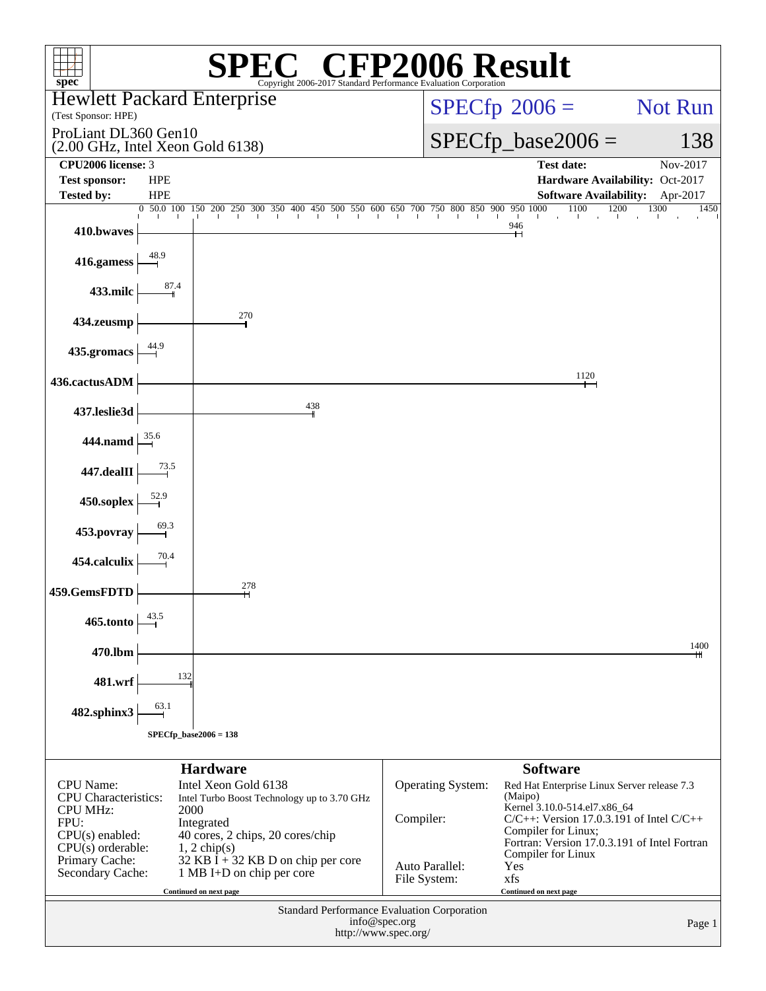| $spec^*$                                           |                          | Copyright 2006-2017 Standard Performance Evaluation Corporation                        | $\mathbb{C}^{\circledast}$ CFP2006 Result |                                                                     |                |
|----------------------------------------------------|--------------------------|----------------------------------------------------------------------------------------|-------------------------------------------|---------------------------------------------------------------------|----------------|
| <b>Hewlett Packard Enterprise</b>                  |                          |                                                                                        |                                           | $SPECfp^{\circ}2006 =$                                              | <b>Not Run</b> |
| (Test Sponsor: HPE)<br>ProLiant DL360 Gen10        |                          |                                                                                        |                                           |                                                                     |                |
| $(2.00 \text{ GHz}, \text{Intel Xeon Gold } 6138)$ |                          |                                                                                        |                                           | $SPECfp\_base2006 =$                                                | 138            |
| CPU <sub>2006</sub> license: 3                     |                          |                                                                                        |                                           | <b>Test date:</b>                                                   | Nov-2017       |
| <b>Test sponsor:</b><br><b>Tested by:</b>          | <b>HPE</b><br><b>HPE</b> |                                                                                        |                                           | Hardware Availability: Oct-2017<br>Software Availability: Apr-2017  |                |
|                                                    |                          | $\frac{0}{1}$ 50.0 100 150 200 250 300 350 400 450 500 550 600 650 700 750 800 850 900 |                                           | 1100<br>1200<br>9501000                                             | 1300<br>1450   |
| 410.bwaves                                         |                          |                                                                                        |                                           | $\sim$ 1.1<br>946<br>┿┥                                             | - 11           |
| 416.gamess                                         | 48.9                     |                                                                                        |                                           |                                                                     |                |
| 433.milc                                           | 87.4                     |                                                                                        |                                           |                                                                     |                |
| 434.zeusmp                                         |                          | 270                                                                                    |                                           |                                                                     |                |
| 435.gromacs                                        |                          |                                                                                        |                                           |                                                                     |                |
| 436.cactusADM                                      |                          |                                                                                        |                                           | 1120                                                                |                |
| 437.leslie3d                                       |                          | 438                                                                                    |                                           |                                                                     |                |
| 444.namd                                           | 35.6                     |                                                                                        |                                           |                                                                     |                |
| 447.dealII                                         | 73.5                     |                                                                                        |                                           |                                                                     |                |
| 450.soplex                                         |                          |                                                                                        |                                           |                                                                     |                |
| 453.povray                                         | 69.3                     |                                                                                        |                                           |                                                                     |                |
| 454.calculix                                       | 70.4                     |                                                                                        |                                           |                                                                     |                |
| 459.GemsFDTD                                       |                          | 278<br>н                                                                               |                                           |                                                                     |                |
| 465.tonto                                          | 43.5                     |                                                                                        |                                           |                                                                     |                |
| 470.lbm                                            |                          |                                                                                        |                                           |                                                                     | 1400           |
| 481.wrf                                            | 132                      |                                                                                        |                                           |                                                                     |                |
| 482.sphinx3                                        | 63.1                     |                                                                                        |                                           |                                                                     |                |
|                                                    |                          | $SPECfp\_base2006 = 138$                                                               |                                           |                                                                     |                |
|                                                    |                          | <b>Hardware</b>                                                                        |                                           | <b>Software</b>                                                     |                |
| <b>CPU</b> Name:                                   |                          | Intel Xeon Gold 6138                                                                   | Operating System:                         | Red Hat Enterprise Linux Server release 7.3                         |                |
| <b>CPU</b> Characteristics:                        |                          | Intel Turbo Boost Technology up to 3.70 GHz                                            |                                           | (Maipo)<br>Kernel 3.10.0-514.el7.x86_64                             |                |
| <b>CPU MHz:</b><br>FPU:                            | 2000                     | Integrated                                                                             | Compiler:                                 | $C/C++$ : Version 17.0.3.191 of Intel $C/C++$                       |                |
| $CPU(s)$ enabled:                                  |                          | 40 cores, 2 chips, 20 cores/chip                                                       |                                           | Compiler for Linux;<br>Fortran: Version 17.0.3.191 of Intel Fortran |                |
| $CPU(s)$ orderable:<br>Primary Cache:              |                          | $1, 2$ chip(s)<br>$32$ KB I + 32 KB D on chip per core                                 |                                           | Compiler for Linux                                                  |                |
| Secondary Cache:                                   |                          | 1 MB I+D on chip per core                                                              | Auto Parallel:<br>File System:            | Yes<br>xfs                                                          |                |
|                                                    |                          | Continued on next page                                                                 |                                           | Continued on next page                                              |                |
| Standard Performance Evaluation Corporation        |                          |                                                                                        |                                           |                                                                     |                |
|                                                    |                          |                                                                                        | info@spec.org<br>http://www.spec.org/     |                                                                     | Page 1         |
|                                                    |                          |                                                                                        |                                           |                                                                     |                |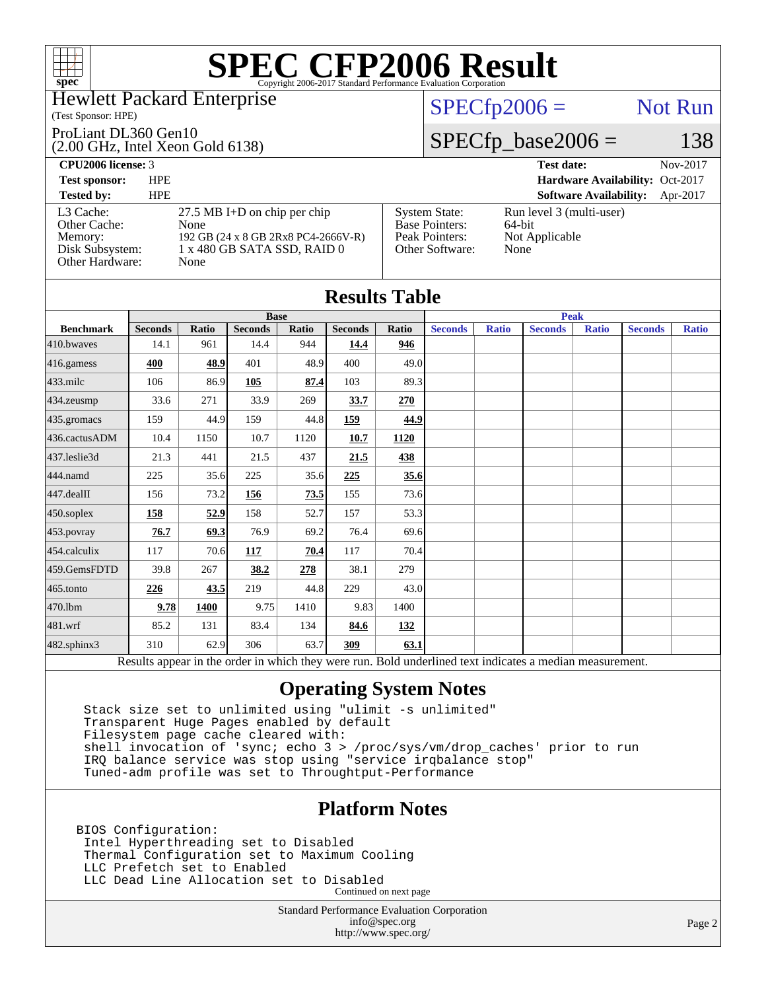

#### Hewlett Packard Enterprise

#### (Test Sponsor: HPE)

#### ProLiant DL360 Gen10

(2.00 GHz, Intel Xeon Gold 6138)

### $SPECfp2006 =$  Not Run

### $SPECfp\_base2006 = 138$

| <b>CPU2006 license: 3</b>                                                  |                                                                                                                                                                                         | Nov-2017<br><b>Test date:</b>                                                   |
|----------------------------------------------------------------------------|-----------------------------------------------------------------------------------------------------------------------------------------------------------------------------------------|---------------------------------------------------------------------------------|
| <b>Test sponsor:</b>                                                       | <b>HPE</b>                                                                                                                                                                              | Hardware Availability: Oct-2017                                                 |
| <b>Tested by:</b>                                                          | <b>HPE</b>                                                                                                                                                                              | <b>Software Availability:</b><br>Apr-2017                                       |
| L3 Cache:<br>Other Cache:<br>Memory:<br>Disk Subsystem:<br>Other Hardware: | $27.5$ MB I+D on chip per chip<br><b>System State:</b><br><b>Base Pointers:</b><br>None<br>192 GB (24 x 8 GB 2Rx8 PC4-2666V-R)<br>Peak Pointers:<br>1 x 480 GB SATA SSD, RAID 0<br>None | Run level 3 (multi-user)<br>64-bit<br>Not Applicable<br>Other Software:<br>None |

| <b>Results Table</b> |                |              |                |       |                |       |                |              |                                                                                                          |              |                |              |
|----------------------|----------------|--------------|----------------|-------|----------------|-------|----------------|--------------|----------------------------------------------------------------------------------------------------------|--------------|----------------|--------------|
|                      | <b>Base</b>    |              |                |       | <b>Peak</b>    |       |                |              |                                                                                                          |              |                |              |
| <b>Benchmark</b>     | <b>Seconds</b> | <b>Ratio</b> | <b>Seconds</b> | Ratio | <b>Seconds</b> | Ratio | <b>Seconds</b> | <b>Ratio</b> | <b>Seconds</b>                                                                                           | <b>Ratio</b> | <b>Seconds</b> | <b>Ratio</b> |
| 410.bwayes           | 14.1           | 961          | 14.4           | 944   | 14.4           | 946   |                |              |                                                                                                          |              |                |              |
| 416.gamess           | 400            | 48.9         | 401            | 48.9  | 400            | 49.0  |                |              |                                                                                                          |              |                |              |
| $433$ .milc          | 106            | 86.9         | 105            | 87.4  | 103            | 89.3  |                |              |                                                                                                          |              |                |              |
| 434.zeusmp           | 33.6           | 271          | 33.9           | 269   | 33.7           | 270   |                |              |                                                                                                          |              |                |              |
| 435.gromacs          | 159            | 44.9         | 159            | 44.8  | 159            | 44.9  |                |              |                                                                                                          |              |                |              |
| 436.cactusADM        | 10.4           | 1150         | 10.7           | 1120  | 10.7           | 1120  |                |              |                                                                                                          |              |                |              |
| 437.leslie3d         | 21.3           | 441          | 21.5           | 437   | 21.5           | 438   |                |              |                                                                                                          |              |                |              |
| 444.namd             | 225            | 35.6         | 225            | 35.6  | 225            | 35.6  |                |              |                                                                                                          |              |                |              |
| $447$ .dealII        | 156            | 73.2         | 156            | 73.5  | 155            | 73.6  |                |              |                                                                                                          |              |                |              |
| $450$ .soplex        | 158            | 52.9         | 158            | 52.7  | 157            | 53.3  |                |              |                                                                                                          |              |                |              |
| 453.povray           | 76.7           | 69.3         | 76.9           | 69.2  | 76.4           | 69.6  |                |              |                                                                                                          |              |                |              |
| 454.calculix         | 117            | 70.6         | 117            | 70.4  | 117            | 70.4  |                |              |                                                                                                          |              |                |              |
| 459.GemsFDTD         | 39.8           | 267          | 38.2           | 278   | 38.1           | 279   |                |              |                                                                                                          |              |                |              |
| 465.tonto            | 226            | 43.5         | 219            | 44.8  | 229            | 43.0  |                |              |                                                                                                          |              |                |              |
| 470.1bm              | 9.78           | 1400         | 9.75           | 1410  | 9.83           | 1400  |                |              |                                                                                                          |              |                |              |
| $ 481$ .wrf          | 85.2           | 131          | 83.4           | 134   | 84.6           | 132   |                |              |                                                                                                          |              |                |              |
| 482.sphinx3          | 310            | 62.9         | 306            | 63.7  | 309            | 63.1  |                |              |                                                                                                          |              |                |              |
|                      |                |              |                |       |                |       |                |              | Results appear in the order in which they were run. Bold underlined text indicates a median measurement. |              |                |              |

### **[Operating System Notes](http://www.spec.org/auto/cpu2006/Docs/result-fields.html#OperatingSystemNotes)**

 Stack size set to unlimited using "ulimit -s unlimited" Transparent Huge Pages enabled by default Filesystem page cache cleared with: shell invocation of 'sync; echo 3 > /proc/sys/vm/drop\_caches' prior to run IRQ balance service was stop using "service irqbalance stop" Tuned-adm profile was set to Throughtput-Performance

### **[Platform Notes](http://www.spec.org/auto/cpu2006/Docs/result-fields.html#PlatformNotes)**

BIOS Configuration: Intel Hyperthreading set to Disabled Thermal Configuration set to Maximum Cooling LLC Prefetch set to Enabled LLC Dead Line Allocation set to Disabled Continued on next page

> Standard Performance Evaluation Corporation [info@spec.org](mailto:info@spec.org) <http://www.spec.org/>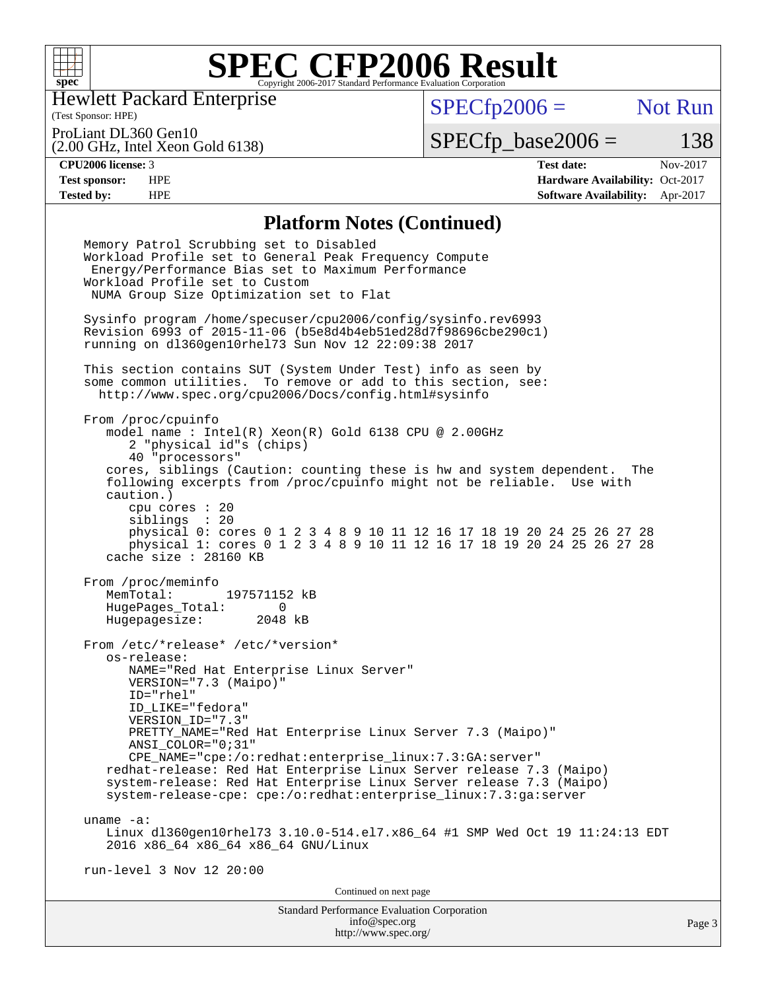

Hewlett Packard Enterprise

(Test Sponsor: HPE)

 $SPECfp2006 =$  Not Run

(2.00 GHz, Intel Xeon Gold 6138) ProLiant DL360 Gen10

 $SPECTp\_base2006 = 138$ 

**[CPU2006 license:](http://www.spec.org/auto/cpu2006/Docs/result-fields.html#CPU2006license)** 3 **[Test date:](http://www.spec.org/auto/cpu2006/Docs/result-fields.html#Testdate)** Nov-2017 **[Test sponsor:](http://www.spec.org/auto/cpu2006/Docs/result-fields.html#Testsponsor)** HPE **[Hardware Availability:](http://www.spec.org/auto/cpu2006/Docs/result-fields.html#HardwareAvailability)** Oct-2017 **[Tested by:](http://www.spec.org/auto/cpu2006/Docs/result-fields.html#Testedby)** HPE **[Software Availability:](http://www.spec.org/auto/cpu2006/Docs/result-fields.html#SoftwareAvailability)** Apr-2017

#### **[Platform Notes \(Continued\)](http://www.spec.org/auto/cpu2006/Docs/result-fields.html#PlatformNotes)**

Standard Performance Evaluation Corporation [info@spec.org](mailto:info@spec.org) Memory Patrol Scrubbing set to Disabled Workload Profile set to General Peak Frequency Compute Energy/Performance Bias set to Maximum Performance Workload Profile set to Custom NUMA Group Size Optimization set to Flat Sysinfo program /home/specuser/cpu2006/config/sysinfo.rev6993 Revision 6993 of 2015-11-06 (b5e8d4b4eb51ed28d7f98696cbe290c1) running on dl360gen10rhel73 Sun Nov 12 22:09:38 2017 This section contains SUT (System Under Test) info as seen by some common utilities. To remove or add to this section, see: <http://www.spec.org/cpu2006/Docs/config.html#sysinfo> From /proc/cpuinfo model name : Intel(R) Xeon(R) Gold 6138 CPU @ 2.00GHz 2 "physical id"s (chips) 40 "processors" cores, siblings (Caution: counting these is hw and system dependent. The following excerpts from /proc/cpuinfo might not be reliable. Use with caution.) cpu cores : 20 siblings : 20 physical 0: cores 0 1 2 3 4 8 9 10 11 12 16 17 18 19 20 24 25 26 27 28 physical 1: cores 0 1 2 3 4 8 9 10 11 12 16 17 18 19 20 24 25 26 27 28 cache size : 28160 KB From /proc/meminfo<br>MemTotal: 197571152 kB HugePages\_Total: 0 Hugepagesize: 2048 kB From /etc/\*release\* /etc/\*version\* os-release: NAME="Red Hat Enterprise Linux Server" VERSION="7.3 (Maipo)" ID="rhel" ID\_LIKE="fedora" VERSION\_ID="7.3" PRETTY NAME="Red Hat Enterprise Linux Server 7.3 (Maipo)" ANSI\_COLOR="0;31" CPE\_NAME="cpe:/o:redhat:enterprise\_linux:7.3:GA:server" redhat-release: Red Hat Enterprise Linux Server release 7.3 (Maipo) system-release: Red Hat Enterprise Linux Server release 7.3 (Maipo) system-release-cpe: cpe:/o:redhat:enterprise\_linux:7.3:ga:server uname -a: Linux dl360gen10rhel73 3.10.0-514.el7.x86\_64 #1 SMP Wed Oct 19 11:24:13 EDT 2016 x86\_64 x86\_64 x86\_64 GNU/Linux run-level 3 Nov 12 20:00 Continued on next page

<http://www.spec.org/>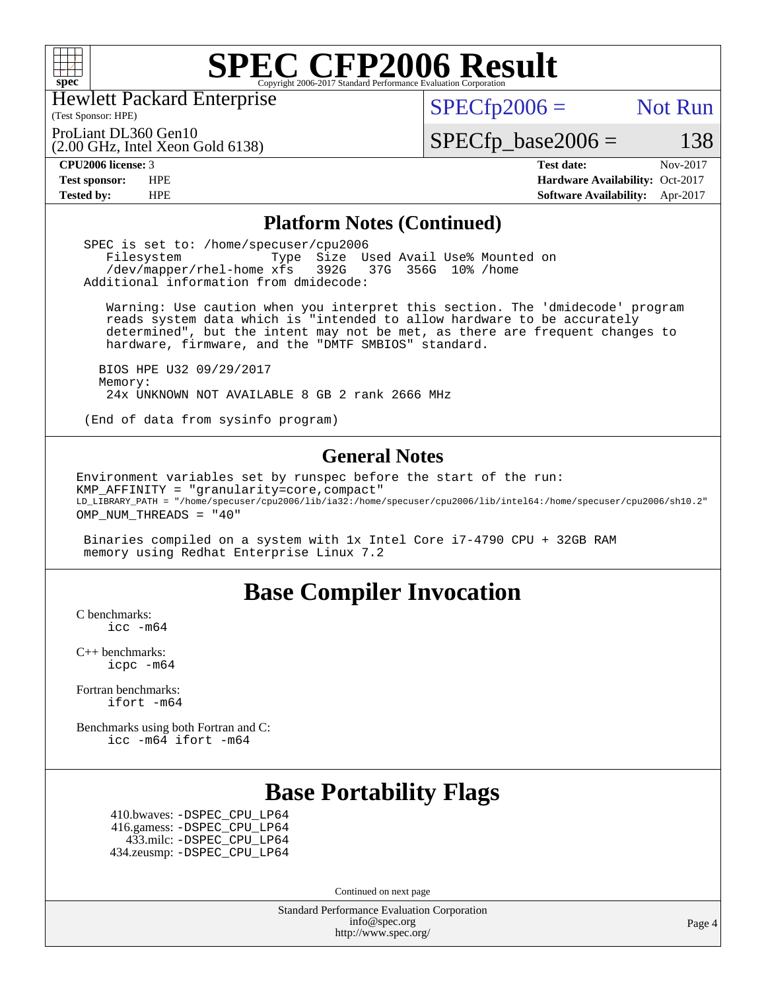

Hewlett Packard Enterprise

(2.00 GHz, Intel Xeon Gold 6138)

(Test Sponsor: HPE)

 $SPECTp2006 =$  Not Run

ProLiant DL360 Gen10

 $SPECTp\_base2006 = 138$ 

**[CPU2006 license:](http://www.spec.org/auto/cpu2006/Docs/result-fields.html#CPU2006license)** 3 **[Test date:](http://www.spec.org/auto/cpu2006/Docs/result-fields.html#Testdate)** Nov-2017 **[Test sponsor:](http://www.spec.org/auto/cpu2006/Docs/result-fields.html#Testsponsor)** HPE **[Hardware Availability:](http://www.spec.org/auto/cpu2006/Docs/result-fields.html#HardwareAvailability)** Oct-2017 **[Tested by:](http://www.spec.org/auto/cpu2006/Docs/result-fields.html#Testedby)** HPE **[Software Availability:](http://www.spec.org/auto/cpu2006/Docs/result-fields.html#SoftwareAvailability)** Apr-2017

#### **[Platform Notes \(Continued\)](http://www.spec.org/auto/cpu2006/Docs/result-fields.html#PlatformNotes)**

 SPEC is set to: /home/specuser/cpu2006 Filesystem Type Size Used Avail Use% Mounted on<br>/dev/mapper/rhel-home xfs 392G 37G 356G 10% /home /dev/mapper/rhel-home xfs 392G Additional information from dmidecode:

 Warning: Use caution when you interpret this section. The 'dmidecode' program reads system data which is "intended to allow hardware to be accurately determined", but the intent may not be met, as there are frequent changes to hardware, firmware, and the "DMTF SMBIOS" standard.

 BIOS HPE U32 09/29/2017 Memory: 24x UNKNOWN NOT AVAILABLE 8 GB 2 rank 2666 MHz

(End of data from sysinfo program)

#### **[General Notes](http://www.spec.org/auto/cpu2006/Docs/result-fields.html#GeneralNotes)**

Environment variables set by runspec before the start of the run: KMP\_AFFINITY = "granularity=core,compact" LD\_LIBRARY\_PATH = "/home/specuser/cpu2006/lib/ia32:/home/specuser/cpu2006/lib/intel64:/home/specuser/cpu2006/sh10.2" OMP NUM THREADS = "40"

 Binaries compiled on a system with 1x Intel Core i7-4790 CPU + 32GB RAM memory using Redhat Enterprise Linux 7.2

## **[Base Compiler Invocation](http://www.spec.org/auto/cpu2006/Docs/result-fields.html#BaseCompilerInvocation)**

[C benchmarks](http://www.spec.org/auto/cpu2006/Docs/result-fields.html#Cbenchmarks): [icc -m64](http://www.spec.org/cpu2006/results/res2017q4/cpu2006-20171114-50622.flags.html#user_CCbase_intel_icc_64bit_bda6cc9af1fdbb0edc3795bac97ada53)

[C++ benchmarks:](http://www.spec.org/auto/cpu2006/Docs/result-fields.html#CXXbenchmarks) [icpc -m64](http://www.spec.org/cpu2006/results/res2017q4/cpu2006-20171114-50622.flags.html#user_CXXbase_intel_icpc_64bit_fc66a5337ce925472a5c54ad6a0de310)

[Fortran benchmarks](http://www.spec.org/auto/cpu2006/Docs/result-fields.html#Fortranbenchmarks): [ifort -m64](http://www.spec.org/cpu2006/results/res2017q4/cpu2006-20171114-50622.flags.html#user_FCbase_intel_ifort_64bit_ee9d0fb25645d0210d97eb0527dcc06e)

[Benchmarks using both Fortran and C](http://www.spec.org/auto/cpu2006/Docs/result-fields.html#BenchmarksusingbothFortranandC): [icc -m64](http://www.spec.org/cpu2006/results/res2017q4/cpu2006-20171114-50622.flags.html#user_CC_FCbase_intel_icc_64bit_bda6cc9af1fdbb0edc3795bac97ada53) [ifort -m64](http://www.spec.org/cpu2006/results/res2017q4/cpu2006-20171114-50622.flags.html#user_CC_FCbase_intel_ifort_64bit_ee9d0fb25645d0210d97eb0527dcc06e)

## **[Base Portability Flags](http://www.spec.org/auto/cpu2006/Docs/result-fields.html#BasePortabilityFlags)**

 410.bwaves: [-DSPEC\\_CPU\\_LP64](http://www.spec.org/cpu2006/results/res2017q4/cpu2006-20171114-50622.flags.html#suite_basePORTABILITY410_bwaves_DSPEC_CPU_LP64) 416.gamess: [-DSPEC\\_CPU\\_LP64](http://www.spec.org/cpu2006/results/res2017q4/cpu2006-20171114-50622.flags.html#suite_basePORTABILITY416_gamess_DSPEC_CPU_LP64) 433.milc: [-DSPEC\\_CPU\\_LP64](http://www.spec.org/cpu2006/results/res2017q4/cpu2006-20171114-50622.flags.html#suite_basePORTABILITY433_milc_DSPEC_CPU_LP64) 434.zeusmp: [-DSPEC\\_CPU\\_LP64](http://www.spec.org/cpu2006/results/res2017q4/cpu2006-20171114-50622.flags.html#suite_basePORTABILITY434_zeusmp_DSPEC_CPU_LP64)

Continued on next page

Standard Performance Evaluation Corporation [info@spec.org](mailto:info@spec.org) <http://www.spec.org/>